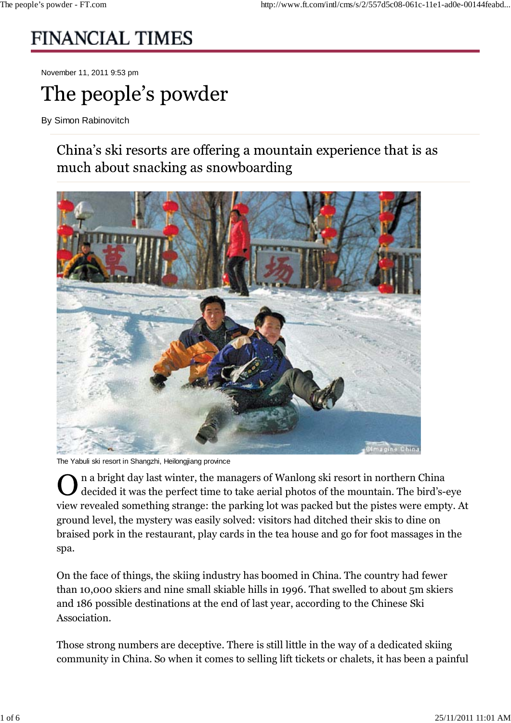## **FINANCIAL TIMES**

November 11, 2011 9:53 pm

# The people's powder

By Simon Rabinovitch

China's ski resorts are offering a mountain experience that is as much about snacking as snowboarding



The Yabuli ski resort in Shangzhi, Heilongjiang province

n a bright day last winter, the managers of Wanlong ski resort in northern China decided it was the perfect time to take aerial photos of the mountain. The bird's-eye view revealed something strange: the parking lot was packed but the pistes were empty. At ground level, the mystery was easily solved: visitors had ditched their skis to dine on braised pork in the restaurant, play cards in the tea house and go for foot massages in the spa.

On the face of things, the skiing industry has boomed in China. The country had fewer than 10,000 skiers and nine small skiable hills in 1996. That swelled to about 5m skiers and 186 possible destinations at the end of last year, according to the Chinese Ski Association.

Those strong numbers are deceptive. There is still little in the way of a dedicated skiing community in China. So when it comes to selling lift tickets or chalets, it has been a painful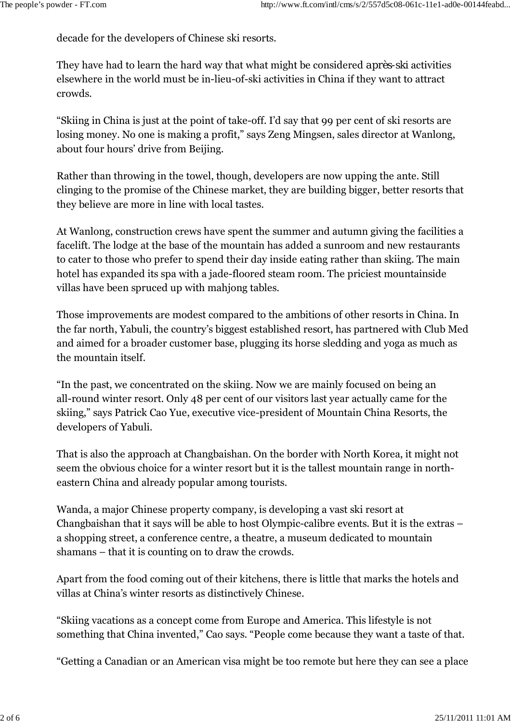decade for the developers of Chinese ski resorts.

They have had to learn the hard way that what might be considered *après-ski* activities elsewhere in the world must be in-lieu-of-ski activities in China if they want to attract crowds.

"Skiing in China is just at the point of take-off. I'd say that 99 per cent of ski resorts are losing money. No one is making a profit," says Zeng Mingsen, sales director at Wanlong, about four hours' drive from Beijing.

Rather than throwing in the towel, though, developers are now upping the ante. Still clinging to the promise of the Chinese market, they are building bigger, better resorts that they believe are more in line with local tastes.

At Wanlong, construction crews have spent the summer and autumn giving the facilities a facelift. The lodge at the base of the mountain has added a sunroom and new restaurants to cater to those who prefer to spend their day inside eating rather than skiing. The main hotel has expanded its spa with a jade-floored steam room. The priciest mountainside villas have been spruced up with mahjong tables.

Those improvements are modest compared to the ambitions of other resorts in China. In the far north, Yabuli, the country's biggest established resort, has partnered with Club Med and aimed for a broader customer base, plugging its horse sledding and yoga as much as the mountain itself.

"In the past, we concentrated on the skiing. Now we are mainly focused on being an all-round winter resort. Only 48 per cent of our visitors last year actually came for the skiing," says Patrick Cao Yue, executive vice-president of Mountain China Resorts, the developers of Yabuli.

That is also the approach at Changbaishan. On the border with North Korea, it might not seem the obvious choice for a winter resort but it is the tallest mountain range in northeastern China and already popular among tourists.

Wanda, a major Chinese property company, is developing a vast ski resort at Changbaishan that it says will be able to host Olympic-calibre events. But it is the extras – a shopping street, a conference centre, a theatre, a museum dedicated to mountain shamans – that it is counting on to draw the crowds.

Apart from the food coming out of their kitchens, there is little that marks the hotels and villas at China's winter resorts as distinctively Chinese.

"Skiing vacations as a concept come from Europe and America. This lifestyle is not something that China invented," Cao says. "People come because they want a taste of that.

"Getting a Canadian or an American visa might be too remote but here they can see a place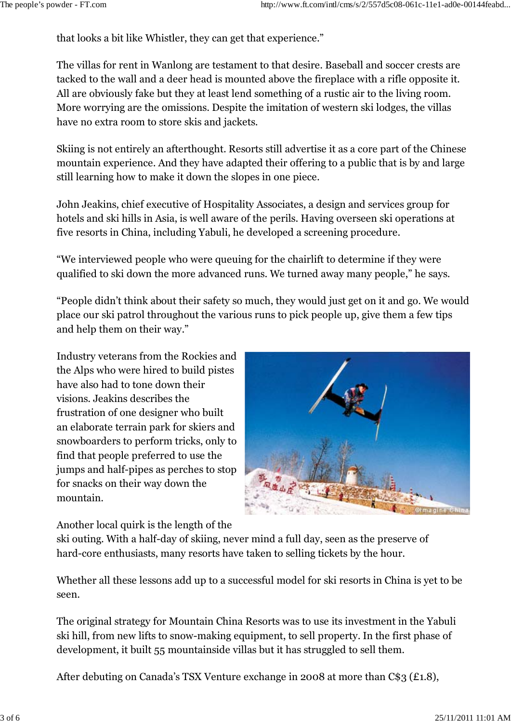that looks a bit like Whistler, they can get that experience."

The villas for rent in Wanlong are testament to that desire. Baseball and soccer crests are tacked to the wall and a deer head is mounted above the fireplace with a rifle opposite it. All are obviously fake but they at least lend something of a rustic air to the living room. More worrying are the omissions. Despite the imitation of western ski lodges, the villas have no extra room to store skis and jackets.

Skiing is not entirely an afterthought. Resorts still advertise it as a core part of the Chinese mountain experience. And they have adapted their offering to a public that is by and large still learning how to make it down the slopes in one piece.

John Jeakins, chief executive of Hospitality Associates, a design and services group for hotels and ski hills in Asia, is well aware of the perils. Having overseen ski operations at five resorts in China, including Yabuli, he developed a screening procedure.

"We interviewed people who were queuing for the chairlift to determine if they were qualified to ski down the more advanced runs. We turned away many people," he says.

"People didn't think about their safety so much, they would just get on it and go. We would place our ski patrol throughout the various runs to pick people up, give them a few tips and help them on their way."

Industry veterans from the Rockies and the Alps who were hired to build pistes have also had to tone down their visions. Jeakins describes the frustration of one designer who built an elaborate terrain park for skiers and snowboarders to perform tricks, only to find that people preferred to use the jumps and half-pipes as perches to stop for snacks on their way down the mountain.



Another local quirk is the length of the

ski outing. With a half-day of skiing, never mind a full day, seen as the preserve of hard-core enthusiasts, many resorts have taken to selling tickets by the hour.

Whether all these lessons add up to a successful model for ski resorts in China is yet to be seen.

The original strategy for Mountain China Resorts was to use its investment in the Yabuli ski hill, from new lifts to snow-making equipment, to sell property. In the first phase of development, it built 55 mountainside villas but it has struggled to sell them.

After debuting on Canada's TSX Venture exchange in 2008 at more than C\$3 (£1.8),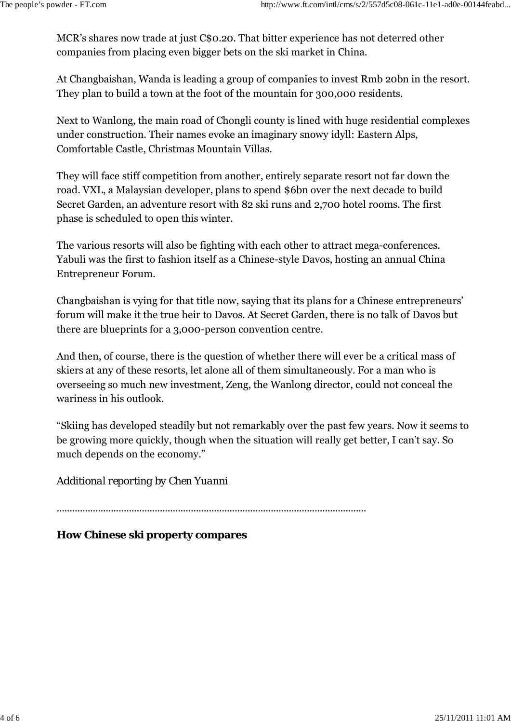MCR's shares now trade at just C\$0.20. That bitter experience has not deterred other companies from placing even bigger bets on the ski market in China.

At Changbaishan, Wanda is leading a group of companies to invest Rmb 20bn in the resort. They plan to build a town at the foot of the mountain for 300,000 residents.

Next to Wanlong, the main road of Chongli county is lined with huge residential complexes under construction. Their names evoke an imaginary snowy idyll: Eastern Alps, Comfortable Castle, Christmas Mountain Villas.

They will face stiff competition from another, entirely separate resort not far down the road. VXL, a Malaysian developer, plans to spend \$6bn over the next decade to build Secret Garden, an adventure resort with 82 ski runs and 2,700 hotel rooms. The first phase is scheduled to open this winter.

The various resorts will also be fighting with each other to attract mega-conferences. Yabuli was the first to fashion itself as a Chinese-style Davos, hosting an annual China Entrepreneur Forum.

Changbaishan is vying for that title now, saying that its plans for a Chinese entrepreneurs' forum will make it the true heir to Davos. At Secret Garden, there is no talk of Davos but there are blueprints for a 3,000-person convention centre.

And then, of course, there is the question of whether there will ever be a critical mass of skiers at any of these resorts, let alone all of them simultaneously. For a man who is overseeing so much new investment, Zeng, the Wanlong director, could not conceal the wariness in his outlook.

"Skiing has developed steadily but not remarkably over the past few years. Now it seems to be growing more quickly, though when the situation will really get better, I can't say. So much depends on the economy."

*Additional reporting by Chen Yuanni*

........................................................................................................................

#### **How Chinese ski property compares**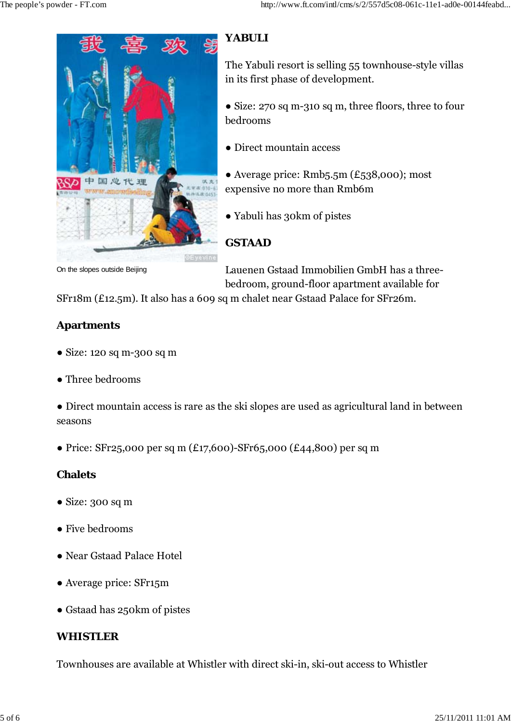

### **YABULI**

The Yabuli resort is selling 55 townhouse-style villas in its first phase of development.

• Size: 270 sq m-310 sq m, three floors, three to four bedrooms

• Direct mountain access

● Average price: Rmb5.5m (£538,000); most expensive no more than Rmb6m

● Yabuli has 30km of pistes

#### **GSTAAD**

On the slopes outside Beijing

Lauenen Gstaad Immobilien GmbH has a threebedroom, ground-floor apartment available for

SFr18m (£12.5m). It also has a 609 sq m chalet near Gstaad Palace for SFr26m.

#### **Apartments**

- Size: 120 sq m-300 sq m
- Three bedrooms

● Direct mountain access is rare as the ski slopes are used as agricultural land in between seasons

• Price: SFr25,000 per sq m  $(£17,600)$ -SFr65,000  $(£44,800)$  per sq m

#### **Chalets**

- $\bullet$  Size: 300 sq m
- Five bedrooms
- Near Gstaad Palace Hotel
- Average price: SFr15m
- Gstaad has 250km of pistes

#### **WHISTLER**

Townhouses are available at Whistler with direct ski-in, ski-out access to Whistler